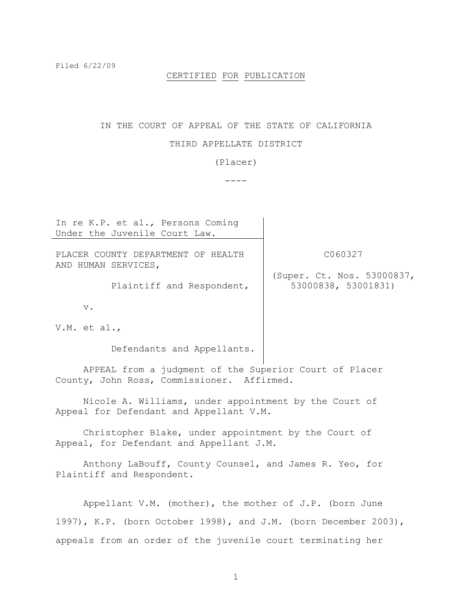Filed 6/22/09

### CERTIFIED FOR PUBLICATION

# IN THE COURT OF APPEAL OF THE STATE OF CALIFORNIA

### THIRD APPELLATE DISTRICT

(Placer)

 $---$ 

In re K.P. et al., Persons Coming Under the Juvenile Court Law. PLACER COUNTY DEPARTMENT OF HEALTH AND HUMAN SERVICES, Plaintiff and Respondent, v. V.M. et al., Defendants and Appellants. C060327 (Super. Ct. Nos. 53000837, 53000838, 53001831) APPEAL from a judgment of the Superior Court of Placer County, John Ross, Commissioner. Affirmed. Nicole A. Williams, under appointment by the Court of Appeal for Defendant and Appellant V.M.

Christopher Blake, under appointment by the Court of Appeal, for Defendant and Appellant J.M.

Anthony LaBouff, County Counsel, and James R. Yeo, for Plaintiff and Respondent.

Appellant V.M. (mother), the mother of J.P. (born June 1997), K.P. (born October 1998), and J.M. (born December 2003), appeals from an order of the juvenile court terminating her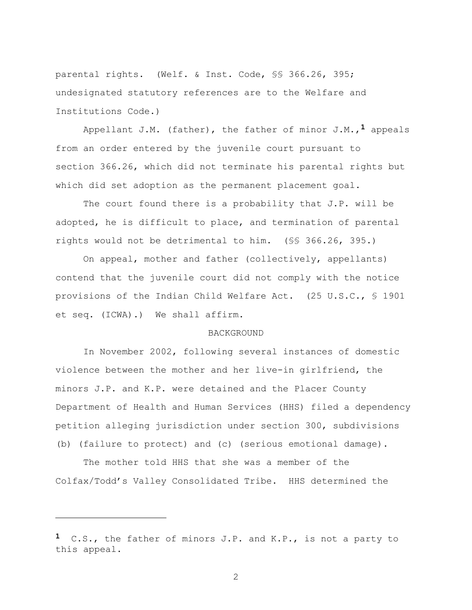parental rights. (Welf. & Inst. Code, §§ 366.26, 395; undesignated statutory references are to the Welfare and Institutions Code.)

Appellant J.M. (father), the father of minor J.M.,**1** appeals from an order entered by the juvenile court pursuant to section 366.26, which did not terminate his parental rights but which did set adoption as the permanent placement goal.

The court found there is a probability that J.P. will be adopted, he is difficult to place, and termination of parental rights would not be detrimental to him. (§§ 366.26, 395.)

On appeal, mother and father (collectively, appellants) contend that the juvenile court did not comply with the notice provisions of the Indian Child Welfare Act. (25 U.S.C., § 1901 et seq. (ICWA).) We shall affirm.

## **BACKGROUND**

In November 2002, following several instances of domestic violence between the mother and her live-in girlfriend, the minors J.P. and K.P. were detained and the Placer County Department of Health and Human Services (HHS) filed a dependency petition alleging jurisdiction under section 300, subdivisions (b) (failure to protect) and (c) (serious emotional damage).

The mother told HHS that she was a member of the Colfax/Todd's Valley Consolidated Tribe. HHS determined the

÷.

**<sup>1</sup>** C.S., the father of minors J.P. and K.P., is not a party to this appeal.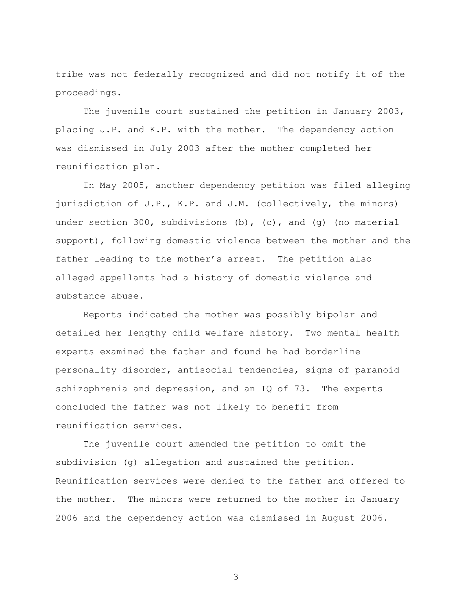tribe was not federally recognized and did not notify it of the proceedings.

The juvenile court sustained the petition in January 2003, placing J.P. and K.P. with the mother. The dependency action was dismissed in July 2003 after the mother completed her reunification plan.

In May 2005, another dependency petition was filed alleging jurisdiction of J.P., K.P. and J.M. (collectively, the minors) under section 300, subdivisions  $(b)$ ,  $(c)$ , and  $(q)$  (no material support), following domestic violence between the mother and the father leading to the mother's arrest. The petition also alleged appellants had a history of domestic violence and substance abuse.

Reports indicated the mother was possibly bipolar and detailed her lengthy child welfare history. Two mental health experts examined the father and found he had borderline personality disorder, antisocial tendencies, signs of paranoid schizophrenia and depression, and an IQ of 73. The experts concluded the father was not likely to benefit from reunification services.

The juvenile court amended the petition to omit the subdivision (g) allegation and sustained the petition. Reunification services were denied to the father and offered to the mother. The minors were returned to the mother in January 2006 and the dependency action was dismissed in August 2006.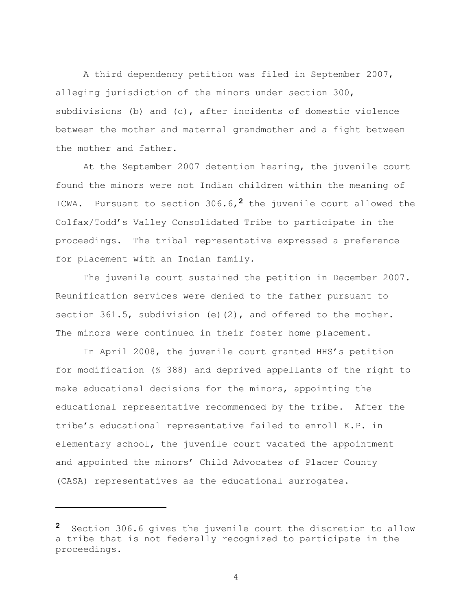A third dependency petition was filed in September 2007, alleging jurisdiction of the minors under section 300, subdivisions (b) and (c), after incidents of domestic violence between the mother and maternal grandmother and a fight between the mother and father.

At the September 2007 detention hearing, the juvenile court found the minors were not Indian children within the meaning of ICWA. Pursuant to section 306.6,**2** the juvenile court allowed the Colfax/Todd's Valley Consolidated Tribe to participate in the proceedings. The tribal representative expressed a preference for placement with an Indian family.

The juvenile court sustained the petition in December 2007. Reunification services were denied to the father pursuant to section 361.5, subdivision (e)(2), and offered to the mother. The minors were continued in their foster home placement.

In April 2008, the juvenile court granted HHS's petition for modification (§ 388) and deprived appellants of the right to make educational decisions for the minors, appointing the educational representative recommended by the tribe. After the tribe's educational representative failed to enroll K.P. in elementary school, the juvenile court vacated the appointment and appointed the minors' Child Advocates of Placer County (CASA) representatives as the educational surrogates.

÷.

**<sup>2</sup>** Section 306.6 gives the juvenile court the discretion to allow a tribe that is not federally recognized to participate in the proceedings.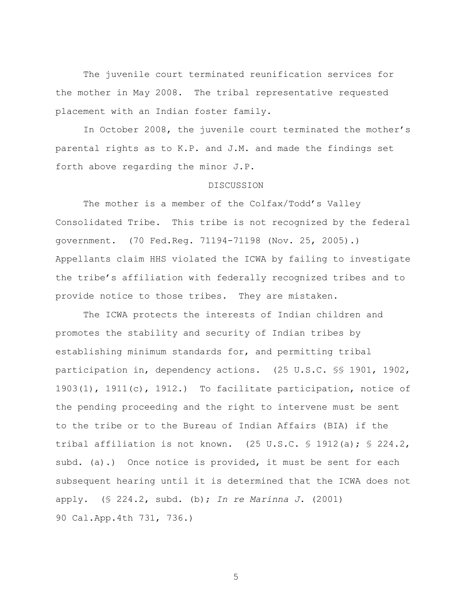The juvenile court terminated reunification services for the mother in May 2008. The tribal representative requested placement with an Indian foster family.

In October 2008, the juvenile court terminated the mother's parental rights as to K.P. and J.M. and made the findings set forth above regarding the minor J.P.

#### DISCUSSION

The mother is a member of the Colfax/Todd's Valley Consolidated Tribe. This tribe is not recognized by the federal government. (70 Fed.Reg. 71194-71198 (Nov. 25, 2005).) Appellants claim HHS violated the ICWA by failing to investigate the tribe's affiliation with federally recognized tribes and to provide notice to those tribes. They are mistaken.

The ICWA protects the interests of Indian children and promotes the stability and security of Indian tribes by establishing minimum standards for, and permitting tribal participation in, dependency actions. (25 U.S.C. §§ 1901, 1902, 1903(1), 1911(c), 1912.) To facilitate participation, notice of the pending proceeding and the right to intervene must be sent to the tribe or to the Bureau of Indian Affairs (BIA) if the tribal affiliation is not known.  $(25 \text{ U.S.C. } $ 1912(a); $ 224.2, ]$ subd. (a).) Once notice is provided, it must be sent for each subsequent hearing until it is determined that the ICWA does not apply. (§ 224.2, subd. (b); *In re Marinna J.* (2001) 90 Cal.App.4th 731, 736.)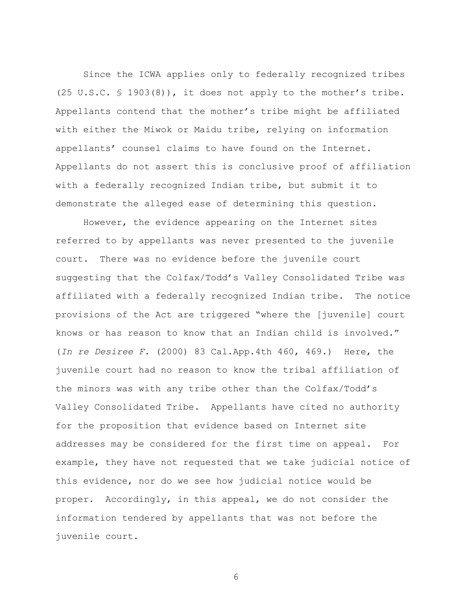Since the ICWA applies only to federally recognized tribes (25 U.S.C. § 1903(8)), it does not apply to the mother's tribe. Appellants contend that the mother's tribe might be affiliated with either the Miwok or Maidu tribe, relying on information appellants' counsel claims to have found on the Internet. Appellants do not assert this is conclusive proof of affiliation with a federally recognized Indian tribe, but submit it to demonstrate the alleged ease of determining this question.

However, the evidence appearing on the Internet sites referred to by appellants was never presented to the juvenile court. There was no evidence before the juvenile court suggesting that the Colfax/Todd's Valley Consolidated Tribe was affiliated with a federally recognized Indian tribe. The notice provisions of the Act are triggered "where the [juvenile] court knows or has reason to know that an Indian child is involved." (*In re Desiree F.* (2000) 83 Cal.App.4th 460, 469.) Here, the juvenile court had no reason to know the tribal affiliation of the minors was with any tribe other than the Colfax/Todd's Valley Consolidated Tribe. Appellants have cited no authority for the proposition that evidence based on Internet site addresses may be considered for the first time on appeal. For example, they have not requested that we take judicial notice of this evidence, nor do we see how judicial notice would be proper. Accordingly, in this appeal, we do not consider the information tendered by appellants that was not before the juvenile court.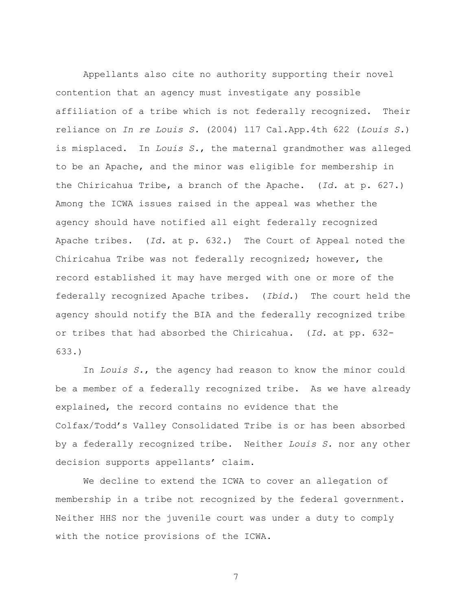Appellants also cite no authority supporting their novel contention that an agency must investigate any possible affiliation of a tribe which is not federally recognized. Their reliance on *In re Louis S.* (2004) 117 Cal.App.4th 622 (*Louis S.*) is misplaced. In *Louis S.*, the maternal grandmother was alleged to be an Apache, and the minor was eligible for membership in the Chiricahua Tribe, a branch of the Apache. (*Id*. at p. 627.) Among the ICWA issues raised in the appeal was whether the agency should have notified all eight federally recognized Apache tribes. (*Id*. at p. 632.) The Court of Appeal noted the Chiricahua Tribe was not federally recognized; however, the record established it may have merged with one or more of the federally recognized Apache tribes. (*Ibid.*) The court held the agency should notify the BIA and the federally recognized tribe or tribes that had absorbed the Chiricahua. (*Id*. at pp. 632- 633.)

In *Louis S.*, the agency had reason to know the minor could be a member of a federally recognized tribe. As we have already explained, the record contains no evidence that the Colfax/Todd's Valley Consolidated Tribe is or has been absorbed by a federally recognized tribe. Neither *Louis S.* nor any other decision supports appellants' claim.

We decline to extend the ICWA to cover an allegation of membership in a tribe not recognized by the federal government. Neither HHS nor the juvenile court was under a duty to comply with the notice provisions of the ICWA.